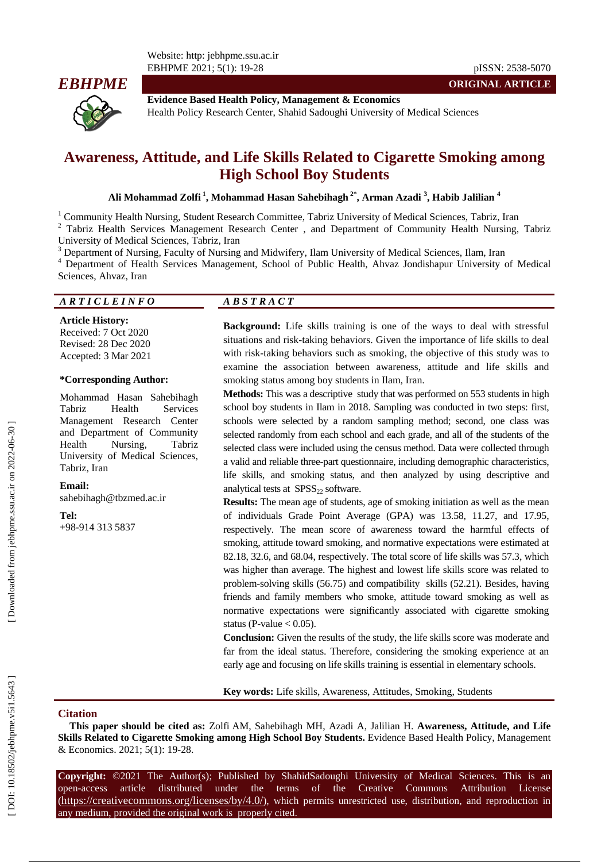

**Evidence Based Health Policy, Management & Economics** Health Policy Research Center, Shahid Sadoughi University of Medical Sciences

# **Awareness, Attitude , and Life Skills Related to Cigarette Smoking among High School Boy Students**

Ali Mohammad Zolfi <sup>1</sup>, Mohammad Hasan Sahebihagh <sup>2\*</sup>, Arman Azadi <sup>3</sup>, Habib Jalilian <sup>4</sup>

<sup>1</sup> Community Health Nursing, Student Research Committee, Tabriz University of Medical Sciences, Tabriz, Iran  $2$  Tabriz Health Services Management Research Center , and Department of Community Health Nursing, Tabriz University of Medical Sciences, Tabriz, Iran<br>
<sup>3</sup> Department of Nursing, Faculty of Nursing and Midwifery, Ilam University of Medical Sciences, Ilam, Iran<br>
<sup>4</sup> Department of Health Services Management, School of Public Hea

Sciences, Ahvaz, Iran

## *A R T I C L E I N F O A B S T R A C T*

**Article History:** Received: 7 Oct 2020 Revised: 28 Dec 2020 Accepted: 3 Mar 2021

#### **\*Corresponding Author:**

Mohammad Hasan Sahebihagh Tabriz Health Services Management Research Center and Department of Community Health Nursing, Tabriz University of Medical Sciences, Tabriz, Iran

**Email:** saheb ihagh@tbzmed.ac.ir

#### **Tel:**

+98-914 313 5837

**Background:** Life skills training is one of the ways to deal with stressful situations and risk -taking behaviors. Given the importance of life skills to deal with risk -taking behaviors such as smoking, the objective of this study was to examine the association between awareness, attitude and life skills and smoking status among boy students in Ilam, Iran.

**Methods:** This was a descriptive study that was performed on 553 students in high school boy students in Ilam in 2018. Sampling was conducted in two steps: first, schools were selected by a random sampling method; second, one class was selected randomly from each school and each grade, and all of the students of the selected class were included using the census method. Data were collected through a valid and reliable three -part questionnaire, including demographic characteristics, life skills, and smoking status, and then analyzed by using descriptive and analytical tests at  $SPSS<sub>22</sub>$  software.

**Results:** The mean age of students, age of smoking initiation as well as the mean of individuals Grade Point Average (GPA) was 13.58, 11.27, and 17.95, respectively. The mean score of awareness toward the harmful effects of smoking, attitude toward smoking, and normative expectations were estimated at 82.18, 32.6, and 68.04, respectively. The total score of life skills was 57.3, which was higher than average. The highest and lowest life skills score was related to problem -solving skills (56.75) and compatibility skills (52.21). Besides, having friends and family members who smoke, attitude toward smoking as well as normative expectations were significantly associated with cigarette smoking status (P-value  $< 0.05$ ).

**Conclusion:** Given the results of the study, the life skills score was moderate and far from the ideal status. Therefore, considering the smoking experience at an early age and focusing on life skills training is essential in elementary schools.

**Key words:** Life skills, Awareness, Attitudes, Smoking, Students

#### **Citation**

**This paper should be cited as:** Zolfi AM, Sahebihagh MH, Azadi A, Jalilian H. **Awareness, Attitude, and Life Skills Related to Cigarette Smoking among High School Boy Students. Evidence Based Health Policy, Management** & Economics. 2021; 5(1): 19 -28 .

**Copyright:** ©2021 The Author(s); Published by ShahidSadoughi University of Medical Sciences. This is an open-access -access article distributed under the terms of the Creative Commons Attribution License (https://creativecommons.org/licenses/by/4.0/), which permits unrestricted use, distribution, and reproduction in any medium, provided the original work is properly cited.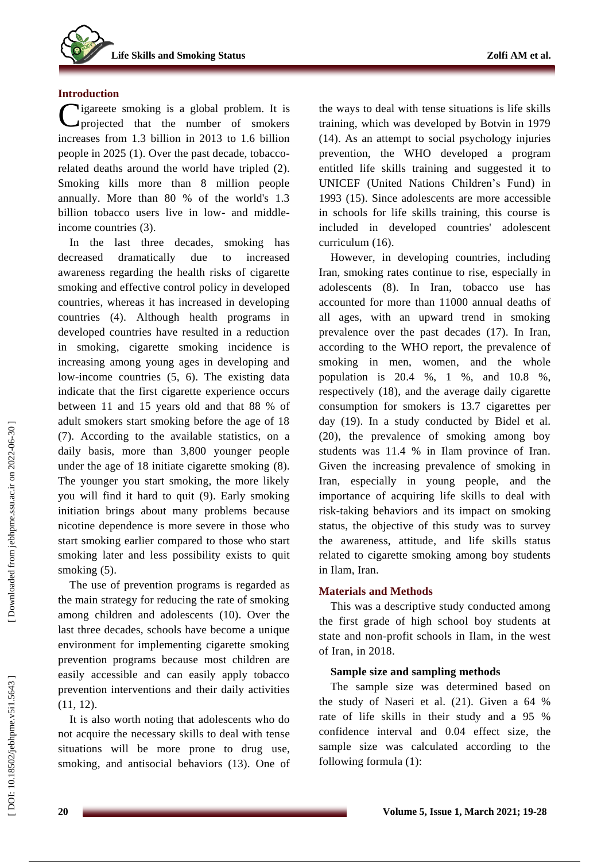## **Introduction**

Cigareete smoking is a global problem. It is projected that the number of smokers projected that the number of smokers increases from 1.3 billion in 2013 to 1.6 billion people in 2025 ( 1 ). Over the past decade, tobacco related deaths around the world have tripled ( 2 ). Smoking kills more than 8 million people annually. More than 80 % of the world's 1.3 billion tobacco users live in low- and middleincome countries (3).

In the last three decades, smoking has decreased dramatically due to increased awareness regarding the health risks of cigarette smoking and effective control policy in developed countries , whereas it has increased in developing countries ( 4 ). Although health programs in developed countries have resulted in a reduction in smoking , cigarette smoking incidence is increasing amo n g young ages in developing and low-income countries  $(5, 6)$ . The existing data indicate that the first cigarette experience occurs between 11 and 15 years old and that 88 % of adult smokers start smoking before the age of 18 (7). According to the available statistics, on a daily basis, more than 3,800 younger people under the age of 18 initiate cigarette smoking ( 8 ). The younger you start smoking, the more likely you will find it hard to quit ( 9 ). Early smoking initiation brings about many problems because nicotine dependence is more severe in those who start smoking earlier compared to those who start smoking later and less possibility exists to quit smoking (5).

The use of prevention programs is regarded as the main strategy for reducing the rate of smoking among children and adolescents (10 ) . Over the last three decades, schools have become a unique environment for implementing cigarette smoking prevention programs because most children are easily accessible and can easily apply tobacco prevention interventions and their daily activities (11, 12).

It is also worth noting that adolescents who do not acquire the necessary skills to deal with tens e situations will be more prone to drug use, smoking , and antisocial behaviors (13 ). One of the ways to deal with tense situations is life skills training , which was developed by Botvin in 1979 (14 ). As an attempt to social psychology injuries prevention, the WHO developed a program entitled life skills training and suggested it to UNICEF (United Nations Children's Fund) in 1993 (15 ) . Since adolescents are more accessible in schools for life skills training, this course is included in developed countries' adolescent curriculum (16 ) .

However, in developing countries, including Iran, smoking rates continue to rise, especially in adolescents (8). In Iran, tobacco use has accounted for more than 11000 annual deaths of all ages, with an upward trend in smoking prevalence over the past decades (17 ). In Iran, according to the WHO report, the prevalence of smoking in men, women , and the whole population is 20.4 %, 1 %, and 10.8 %, respectively (18 ) , and the average daily cigarette consumption for smokers is 13.7 cigarettes per day (19 ). In a study conducted by Bidel et al. (20 ), the prevalence of smoking among boy students was 11.4 % in Ilam province of Iran. Given the increasing prevalence of smoking in Iran, especially in young people, and the importance of acquiring life skills to deal with risk -taking behaviors and its impact on smoking status, the objective of this study was to survey the awareness, attitude , and life skills status related to cigarette smoking among boy students in Ilam, Iran.

## **Materials and Methods**

This was a descriptive study conducted among the first grade of high school boy students at state and non -profit schools in Ilam, in the west of Iran, in 2018 .

## **Sample size and sampling methods**

The sample size was determined based on the study of Naseri et al. (2 1). Given a 64 % rate of life skills in their study and a 95 % confidence interval and 0.04 effect size, the sample size was calculated according to the following formula (1):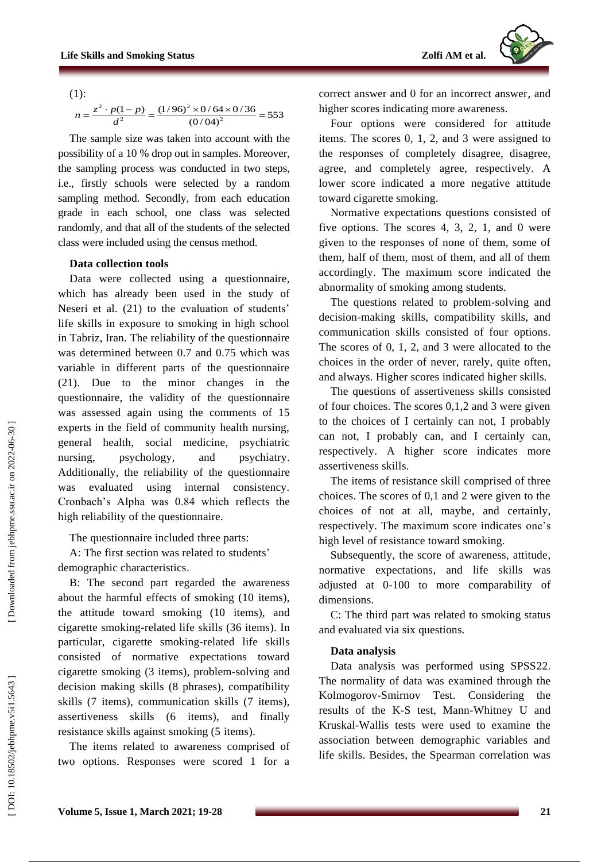(1):

$$
n = \frac{z^2 \cdot p(1-p)}{d^2} = \frac{(1/96)^2 \times 0/64 \times 0/36}{(0/04)^2} = 553
$$

The sample size was taken into account with the possibility of a 10 % drop out in samples. Moreover, the sampling process was conducted in two steps, i.e., firstly schools were selected by a random sampling method. Secondly, from each education grade in each school, one class was selected randomly , and that all of the students of the selected class were included using the census method.

## **Data collection tools**

Data were collected using a questionnaire , which has already been used in the study of Neseri et al. (21) to the evaluation of students' life skills in exposure to smoking in high school in Tabriz, Iran. The reliability of the questionnaire was determined between 0.7 and 0.75 which was variable in different parts of the questionnaire (21). Due to the minor changes in the questionnaire, the validity of the questionnaire was assessed again using the comments of 15 experts in the field of community health nursing, general health, social medicine, psychiatric nursing, psychology, and psychiatry. Additionally, the reliability of the questionnaire was evaluated using internal consistency. Cronbach's Alpha was 0.84 which reflects the high reliability of the questionnaire .

The questionnaire included three parts:

A: The first section was related to students ' demographic characteristics .

B: The second part regarded the awareness about the harmful effects of smoking (10 items), the attitude toward smoking (10 items ) , and cigarette smoking -related life skills (36 items). In particular, cigarette smoking -related life skills consisted of normative expectations toward cigarette smoking (3 items), problem -solving and decision making skills (8 phrases), compatibility skills (7 items), communication skills (7 items), assertiveness skills (6 items ) , and finally resistance skills against smoking (5 items).

The items related to awareness comprised of two options. Responses were scored 1 for a

correct answer and 0 for an incorrect answer , and higher scores indicating more awareness.

Four options were considered for attitude items. The scores 0, 1, 2, and 3 were assigned to the responses of completely disagree, disagree, agree , and completely agree , respectively. A lower score indicate d a more negative attitude toward cigarette smoking.

Normative expectations questions consisted of five options. The scores  $4, 3, 2, 1$ , and 0 were given to the responses of none of them, some of them, half of them, most of them, and all of them accordingly. The maximum score indicate d the abnormality of smoking among students.

The questions related to problem -solving and decision -making skills, compatibility skills, and communication skills consisted of four options. The scores of 0, 1, 2, and 3 were allocated to the choices in the order of never, rarely, quite often , and always. Higher scores indicate d higher skills.

The questions of assertiveness skill s consisted of four choices. The scores 0,1,2 and 3 were given to the choices of I certainly can not, I probably can not, I probably can , and I certainly can , respectively . A higher score indicates more assertiveness skill s .

The items of resistance skill comprised of three choices. The scores of 0,1 and 2 were given to the choices of not at all, maybe , and certainly , respectively. The maximum score indicates one's high level of resistance toward smoking.

Subsequently, the score of awareness, attitude, normative expectations , and life skills was adjusted at 0 -100 to more comparability of dimensions.

C: The third part was related to smoking status and evaluated via six questions.

## **Data analysis**

Data analysis was performed using SPSS22 . The normality of data was examined through the Kolmogorov -Smirnov Test. Considering the results of the K -S test, Mann -Whitney U and Kruskal - Wallis tests were used to examine the association between demographic variables and life skills. Besides, the Spearman correlation was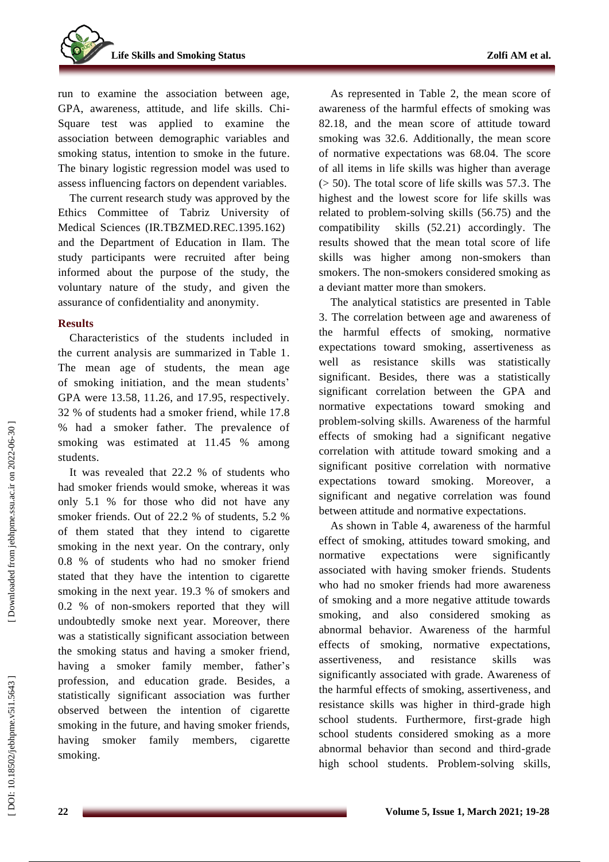**Life Skills and Smoking Status** 

run to examine the association between age, GPA, awareness, attitude , and life skills. Chi - Square test was applied to examine the association between demographic variables and smoking status, intention to smoke in the future . The binary logistic regression model was used to assess influencing factors on dependent variables.

The current research study was approved by the Ethics Committee of Tabriz University of Medical Sciences (IR.TBZMED.REC.1395.162) and the Department of Education in Ilam. The study participants were recruited after being informed about the purpose of the study, the voluntary nature of the study , and given the assurance of confidentiality and anonymity.

## **Results**

Characteristics of the students included in the current analysis are summarized in Table 1. The mean age of students, the mean age of smoking initiation, and the mean students' GPA were 13 .58, 11 . 26, and 17 .95, respectively. 32 % of students had a smoker friend , while 17.8 % had a smoker father. The prevalence of smoking was estimated at 11.45 % among students.

It was revealed that 22.2 % of students who had smoker friend s would smoke, whereas it was only 5.1 % for those who did not have any smoker friend s . Out of 22.2 % of students, 5.2 % of them stated that they inten d to cigarette smoking in the next year. On the contrary, only 0.8 % of students who had no smoker friend stated that they have the intention to cigarette smoking in the next year. 19.3 % of smokers and 0.2 % of non -smokers reported that they will undoubtedly smoke next year. Moreover, there was a statistically significant association between the smoking status and having a smoker friend, having a smoker family member, father's profession, and education grade. Besides, a statistically significant association was further observed between the intention of cigarette smoking in the future , and having smoker friends, having smoker family members, cigarette smoking .

As represented in Table 2 , the mean score of awareness of the harmful effects of smoking was 82.18 , and the mean score of attitude toward smoking was 32.6. Additionally, the mean score of normative expectations was 68.04. The score of all items in life skills was higher than average (> 50). Th e total score of life skills was 57.3. The highest and the lowest score for life skills was related to problem -solving skill s (56.75) and the compatibility skills (52.21) accordingly. The results showed that the mean total score of life skills was higher among non -smokers than smokers. The non -smokers considered smoking as a deviant matter more than smokers .

The analytical statistics are presented in Table 3. The correlation between age and awareness of the harmful effects of smoking, normative expectations toward smoking , assertiveness as well as resistance skills was statistically significant. Besides, there was a statistically significant correlation between the GPA and normative expectations toward smoking and problem -solving skill s. Awareness of the harmful effects of smoking had a significant negative correlation with attitude toward smoking and a significant positive correlation with normative expectations toward smoking. Moreover, a significant and negative correlation was found between attitude and normative expectations.

As shown in Table 4, awareness of the harmful effect of smoking, attitudes toward smoking, and normative expectations were significantly associated with having smoker friends. Students who had no smoker friend s had more awareness of smoking and a more negative attitude towards smoking, and also considere d smoking as abno rmal behavior. Awareness of the harmful effect s of smoking, normative expectations, assertiveness , and resistance skills was significantly associated with grade. Awareness of the harmful effects of smoking, assertiveness , and resistance skills was higher in third -grade high school students. Furthermore, first -grade high school students considered smoking as a more abnormal behavior than second and third -grade high school students. Problem -solving skills,

DOI: 10.18502/jebhpme.v5i1.5643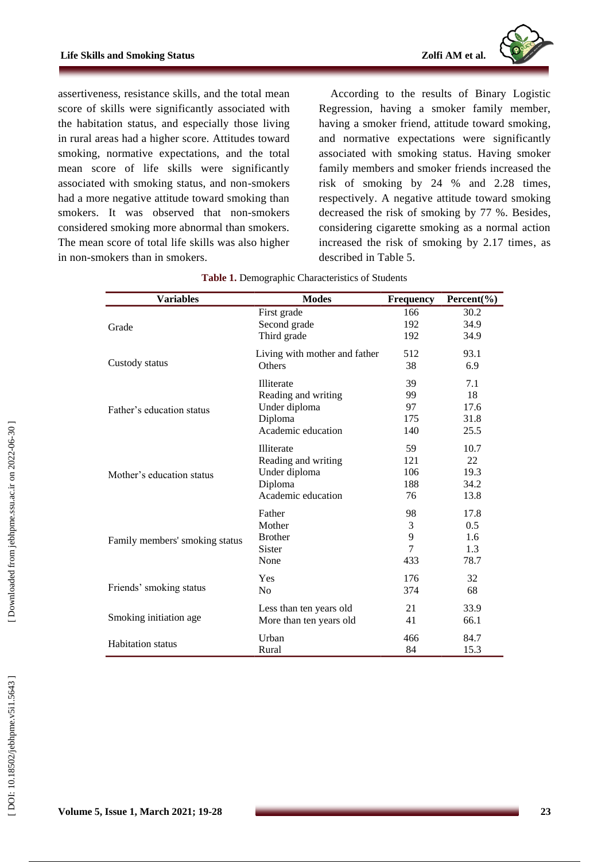

assertiveness, resistance skills , and the total mean score of skills were significantly associated with the habitation status, and especially those living in rural areas had a higher score. Attitudes toward smoking, normative expectations, and the total mean score of life skills were significantly associated with smoking status, and non -smokers had a more negative attitude toward smoking than smokers. It was observed that non -smokers considered smoking more abnormal than smokers. The mean score of total life skills was also higher in non -smokers than in smokers.

According to the results of Binary Logistic Regression, having a smoker family member, having a smoker friend, attitude toward smoking , and normative expectations were significantly associated with smoking status. Having smoker family member s and smoker friends increase d the risk of smoking by 24 % and 2.28 time s , respectively . A negative attitude toward smoking decrease d the risk of smoking by 77 %. Besides, considering cigarette smoking as a normal action increased the risk of smoking by 2.17 times , as described in Table 5.

| <b>Variables</b>               | <b>Modes</b>                  | <b>Frequency</b> | Percent $(\% )$ |
|--------------------------------|-------------------------------|------------------|-----------------|
|                                | First grade                   | 166              | 30.2            |
| Grade                          | Second grade                  | 192              | 34.9            |
|                                | Third grade                   | 192              | 34.9            |
|                                | Living with mother and father | 512              | 93.1            |
| Custody status                 | Others                        | 38               | 6.9             |
|                                | Illiterate                    | 39               | 7.1             |
|                                | Reading and writing           | 99               | 18              |
| Father's education status      | Under diploma                 | 97               | 17.6            |
|                                | Diploma                       | 175              | 31.8            |
|                                | Academic education            | 140              | 25.5            |
|                                | Illiterate                    | 59               | 10.7            |
|                                | Reading and writing           | 121              | 22              |
| Mother's education status      | Under diploma                 | 106              | 19.3            |
|                                | Diploma                       | 188              | 34.2            |
|                                | Academic education            | 76               | 13.8            |
|                                | Father                        | 98               | 17.8            |
|                                | Mother                        | 3                | $0.5^{\circ}$   |
| Family members' smoking status | <b>Brother</b>                | 9                | 1.6             |
|                                | <b>Sister</b>                 | 7                | 1.3             |
|                                | None                          | 433              | 78.7            |
|                                | Yes                           | 176              | 32              |
| Friends' smoking status        | N <sub>0</sub>                | 374              | 68              |
|                                | Less than ten years old       | 21               | 33.9            |
| Smoking initiation age.        | More than ten years old       | 41               | 66.1            |
| <b>Habitation</b> status       | Urban                         | 466              | 84.7            |
|                                | Rural                         | 84               | 15.3            |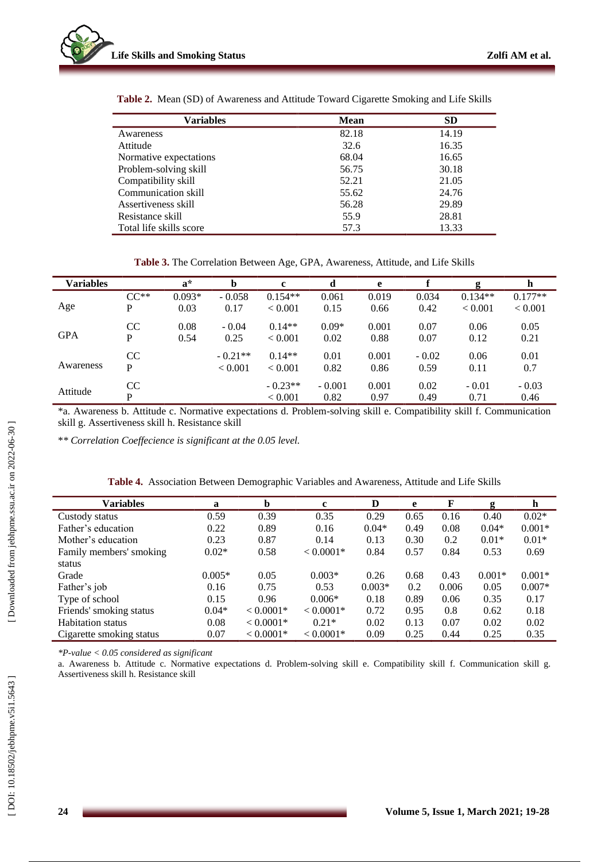

| Variables               | <b>Mean</b> | <b>SD</b> |
|-------------------------|-------------|-----------|
| Awareness               | 82.18       | 14.19     |
| Attitude                | 32.6        | 16.35     |
| Normative expectations  | 68.04       | 16.65     |
| Problem-solving skill   | 56.75       | 30.18     |
| Compatibility skill     | 52.21       | 21.05     |
| Communication skill     | 55.62       | 24.76     |
| Assertiveness skill     | 56.28       | 29.89     |
| Resistance skill        | 55.9        | 28.81     |
| Total life skills score | 57.3        | 13.33     |

**Table 2 .** Mean (SD) of Awareness and Attitude Toward Cigarette Smoking and Life Skills

Table 3. The Correlation Between Age, GPA, Awareness, Attitude, and Life Skills

| <b>Variables</b> |                | $\mathbf{a}^*$   | b                    | $\mathbf c$             |                  | e             |                 | g                    | h                    |
|------------------|----------------|------------------|----------------------|-------------------------|------------------|---------------|-----------------|----------------------|----------------------|
| Age              | $CC**$<br>P    | $0.093*$<br>0.03 | $-0.058$<br>0.17     | $0.154**$<br>< 0.001    | 0.061<br>0.15    | 0.019<br>0.66 | 0.034<br>0.42   | $0.134**$<br>< 0.001 | $0.177**$<br>< 0.001 |
| <b>GPA</b>       | <b>CC</b><br>P | 0.08<br>0.54     | $-0.04$<br>0.25      | $0.14**$<br>< 0.001     | $0.09*$<br>0.02  | 0.001<br>0.88 | 0.07<br>0.07    | 0.06<br>0.12         | 0.05<br>0.21         |
| Awareness        | CC<br>P        |                  | $-0.21**$<br>< 0.001 | $0.14**$<br>${}< 0.001$ | 0.01<br>0.82     | 0.001<br>0.86 | $-0.02$<br>0.59 | 0.06<br>0.11         | 0.01<br>0.7          |
| Attitude         | CC<br>P        |                  |                      | $-0.23**$<br>< 0.001    | $-0.001$<br>0.82 | 0.001<br>0.97 | 0.02<br>0.49    | $-0.01$<br>0.71      | $-0.03$<br>0.46      |

\*a. Awareness b. Attitude c. Normative expectations d. Problem -solving skill e. Compatibility skill f. Communication skill g. Assertiveness skill h. Resistance skill

\**\* Correlation Coeffecience is significant at the 0.05 level.*

| <b>Variables</b>         | a        | b           | c           | D        | e    | F     | g        | $\mathbf h$ |
|--------------------------|----------|-------------|-------------|----------|------|-------|----------|-------------|
| Custody status           | 0.59     | 0.39        | 0.35        | 0.29     | 0.65 | 0.16  | 0.40     | $0.02*$     |
| Father's education       | 0.22     | 0.89        | 0.16        | $0.04*$  | 0.49 | 0.08  | $0.04*$  | $0.001*$    |
| Mother's education       | 0.23     | 0.87        | 0.14        | 0.13     | 0.30 | 0.2   | $0.01*$  | $0.01*$     |
| Family members' smoking  | $0.02*$  | 0.58        | $< 0.0001*$ | 0.84     | 0.57 | 0.84  | 0.53     | 0.69        |
| status                   |          |             |             |          |      |       |          |             |
| Grade                    | $0.005*$ | 0.05        | $0.003*$    | 0.26     | 0.68 | 0.43  | $0.001*$ | $0.001*$    |
| Father's job             | 0.16     | 0.75        | 0.53        | $0.003*$ | 0.2  | 0.006 | 0.05     | $0.007*$    |
| Type of school           | 0.15     | 0.96        | $0.006*$    | 0.18     | 0.89 | 0.06  | 0.35     | 0.17        |
| Friends' smoking status  | $0.04*$  | $< 0.0001*$ | $< 0.0001*$ | 0.72     | 0.95 | 0.8   | 0.62     | 0.18        |
| <b>Habitation</b> status | 0.08     | $< 0.0001*$ | $0.21*$     | 0.02     | 0.13 | 0.07  | 0.02     | 0.02        |
| Cigarette smoking status | 0.07     | $< 0.0001*$ | $< 0.0001*$ | 0.09     | 0.25 | 0.44  | 0.25     | 0.35        |
|                          |          |             |             |          |      |       |          |             |

|  |  |  | Table 4. Association Between Demographic Variables and Awareness, Attitude and Life Skills |  |  |  |  |
|--|--|--|--------------------------------------------------------------------------------------------|--|--|--|--|
|--|--|--|--------------------------------------------------------------------------------------------|--|--|--|--|

*\*P -value < 0.05 considered as significant*

a. Awareness b. Attitude c. Normative expectations d. Problem -solving skill e. Compatibility skill f. Communication skill g. Assertiveness skill h. Resistance skill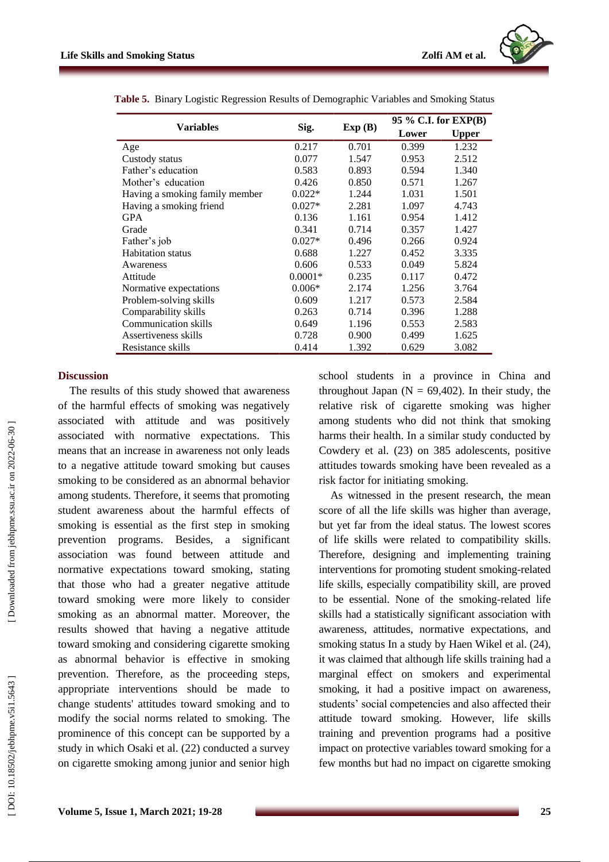

|                                |           |        | 95 % C.I. for EXP(B) |              |  |
|--------------------------------|-----------|--------|----------------------|--------------|--|
| Variables                      | Sig.      | Exp(B) | Lower                | <b>Upper</b> |  |
| Age                            | 0.217     | 0.701  | 0.399                | 1.232        |  |
| Custody status                 | 0.077     | 1.547  | 0.953                | 2.512        |  |
| Father's education             | 0.583     | 0.893  | 0.594                | 1.340        |  |
| Mother's education             | 0.426     | 0.850  | 0.571                | 1.267        |  |
| Having a smoking family member | $0.022*$  | 1.244  | 1.031                | 1.501        |  |
| Having a smoking friend        | $0.027*$  | 2.281  | 1.097                | 4.743        |  |
| <b>GPA</b>                     | 0.136     | 1.161  | 0.954                | 1.412        |  |
| Grade                          | 0.341     | 0.714  | 0.357                | 1.427        |  |
| Father's job                   | $0.027*$  | 0.496  | 0.266                | 0.924        |  |
| <b>Habitation</b> status       | 0.688     | 1.227  | 0.452                | 3.335        |  |
| Awareness                      | 0.606     | 0.533  | 0.049                | 5.824        |  |
| Attitude                       | $0.0001*$ | 0.235  | 0.117                | 0.472        |  |
| Normative expectations         | $0.006*$  | 2.174  | 1.256                | 3.764        |  |
| Problem-solving skills         | 0.609     | 1.217  | 0.573                | 2.584        |  |
| Comparability skills           | 0.263     | 0.714  | 0.396                | 1.288        |  |
| Communication skills           | 0.649     | 1.196  | 0.553                | 2.583        |  |
| Assertiveness skills           | 0.728     | 0.900  | 0.499                | 1.625        |  |
| Resistance skills              | 0.414     | 1.392  | 0.629                | 3.082        |  |

**Table 5 .** Binary Logistic Regression Results of Demographic Variables and Smoking Status

#### **Discussion**

The results of this study showed that awareness of the harmful effects of smoking was negatively associated with attitude and was positively associated with normative expectations. This means that an increase in awareness not only leads to a negative attitude toward smoking but cause s smoking to be considered as an abnormal behavior among students. Therefore, it seems that promoting student awareness about the harmful effect s of smoking is essential as the first step in smoking prevention programs. Besides, a significant association was found between attitude and normative expectations toward smoking, stating that those who had a greater negative attitude toward smoking were more likely to consider smoking as an abnormal matter. Moreover, the results showed that having a negative attitude toward smoking and considering cigarette smoking as abnormal behavior is effective in smoking prevention. Therefore, as the proceeding steps, appropriate interventions should be made to change students' attitudes toward smoking and to modify the social norms related to smoking. The prominence of this concept can be supported by a study in which Osaki et al. (22 ) conducted a survey on cigarette smoking among junior and senior high

school students in a province in China and throughout Japan ( $N = 69,402$ ). In their study, the relative risk of cigarette smoking was higher among students who did not think that smoking harms their health . In a similar study conducted by Cowdery et al. (23 ) on 385 adolescents, positive attitudes towards smoking have been revealed as a risk factor for initiating smoking .

As witnessed in the present research, the mean score of all the life skills was higher than average , but yet far from the ideal status. The lowest scores of life skills were related to compatibility skills . Therefor e , designing and impleme nting training interventions for promoting student smoking-related life skills , especially compatib ility skill , are proved to be essential. None of the smoking -related life skills had a statistically significant association with awareness, attitudes , normative expectations, and smoking status In a study by Haen Wikel et al. (24), it was claimed that although life skills training had a marginal effect on smokers and experimental smoking, it had a positive impact on awareness, students' social competenc ies and als o affected their attitude toward smoking. However, life skills training and prevention programs had a positive impact on protective variables toward smoking for a few months but had no impact on cigarette smoking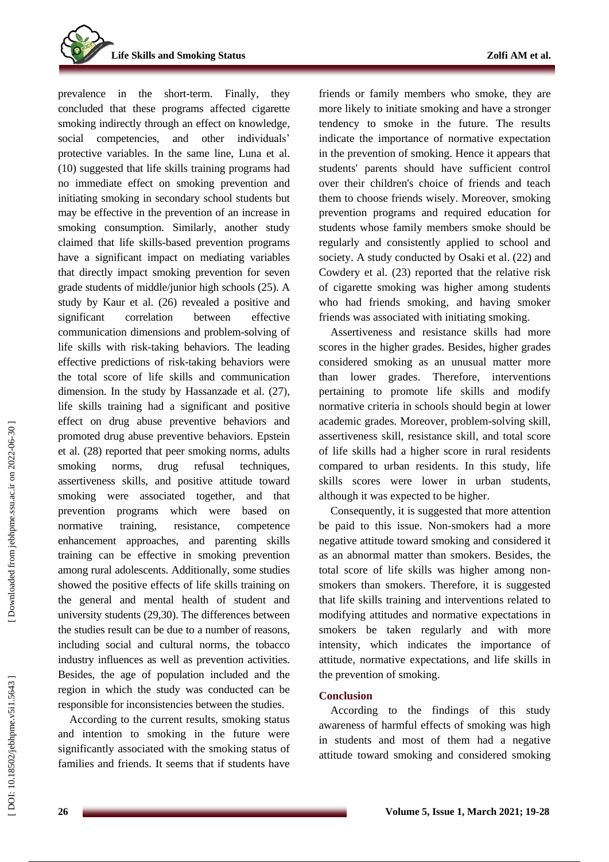**Life Skills and Smoking Status** 

prevalence in the short -term. Finally, they concluded that these programs affected cigarette smoking indirectly through an effect on knowledge, social competenc ies , and other individuals' protective variables . In the same line, Luna et al. (10 ) suggested that life skills training programs had no immediate effect on smoking prevention and initiating smoking in secondary school students but may be effective in the prevention of an increase in smoking consumption . Similarly, another study claimed that life skills -based prevention programs have a significant impact on mediating variables that directly impact smoking prevention for seven grade student s of middle/junior high schools (25 ). A study by Kaur et al. (26 ) revealed a positive and significant correlation between effective communication dimensions and problem -solving of life skills with risk -taking behavior s. The leading effective predictions of risk -taking behaviors were the total score of life skills and communication dimension. In the study by Hassanzade et al. (27 ), life skills training had a significant and positive effect on drug abuse preventive behaviors and promote d drug abuse preventive behaviors. Epstein et al. (28 ) reported that peer smoking norms, adults smoking norms, drug refusal techniques, assertiveness skills , and positive attitude toward smoking were associated together, and that prevention programs which were based on normative training, resistance, competence enhancement approaches, and parenting skills training can be effective in smoking prevention among rural adolescents. Additionally, some studies showed the positive effects of life skills training on the general and mental health of student and university students (29,30 ). The differences between the studies result can be due to a number of reasons, including social and cultural norms, the tobacco industry influences as well as prevention activities. Besides, the age of population included and the region in which the study was conducted can be responsible for inconsistencies between the studies.

According to the current results , smoking status and intention to smoking in the future were significantly associated with the smoking status of families and friends. It seems that if students have friends or family members who smoke, they are more likely to initiate smoking and have a stronger tendency to smoke in the future. The results indicate the importance of normative expectation in the prevention of smoking. Hence it appears that students' parents should have sufficient control over their children's choice of friends and teach them to choose friends wisely. Moreover, smoking prevention programs and required education for students whose family members smoke should be regularly and consistently applied to school and society. A study conducted by Osaki et al.  $(22)$  and Cowdery et al. (23 ) reported that the relative risk of cigarette smoking was higher among students who had friends smoking , and having smoker friends was associated with initiating smoking.

Assertiveness and resistance skill s had more scores in the higher grades. Besides, higher grades considered smoking as an unusual matter more than lower grades . Therefore, interventions pertaining to promote life skills and modify normative criteria in schools should begin at lower academic grades. Moreover, problem -solving skill, assertiveness skill, resistance skill , and total score of life skill s had a higher score in rural residents compared to urban residents. In this study , life skills scores were lower in urban students , although it was expected to be higher .

Consequently, it is suggested that more attention be paid to this issue. Non -smokers had a more negative attitude toward smoking and considered it as an abnormal matter than smokers. Besides, the total score of life skills was higher among non smokers than smokers . Therefore, it is suggested that life skills training and interventions related to modifying attitudes and normative expectations in smokers be taken regularly and with more intensity, which indicates the importance of attitude, normative expectations , and life skill s in the prevention of smoking.

## **Conclusion**

According to the findings of this study awareness of harmful effects of smoking was high in students and most of them had a negative attitude toward smoking and considered smoking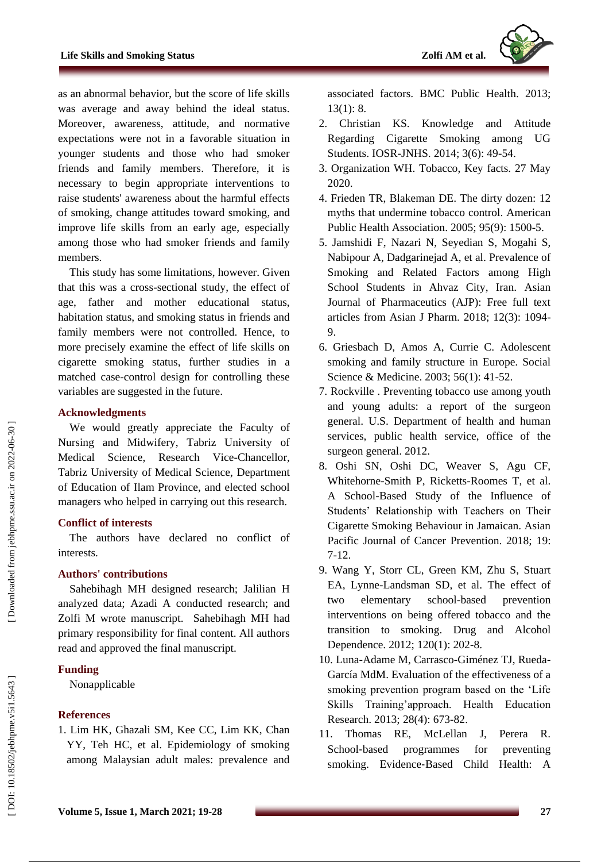as an abnormal behavio r, but the score of life skills was average and away behind the ideal status. Moreover, awareness, attitude , and normative expectations were not in a favorable situation in younger students and those who had smoker friends and family members . Therefore, it is necessary to begin appropriate interventions to raise students' awareness about the harmful effects of smoking, change attitudes toward smoking, and improve life skills from an early age, especially among those who had smoker friends and family members .

This study has some limitations , however. Given that this was a cross -sectional study, the effect of age, father and mother educational status, habitation status , and smoking status in friends and family members were not controlled. Hence, to more precisely examine the effect of life skills on cigarette smoking status, further studies in a matched case -control design for controlling these variables are suggested in the future.

## **Acknowledgment s**

We would greatly appreciate the Faculty of Nursing and Midwifery, Tabriz University of Medical Science, Research Vice -Chancellor, Tabriz University of Medical Science, Department of Education of Ilam Province , and elected school managers who helped in carrying out this research.

# **Conflict of interest s**

The authors have declared no conflict of interest s.

# **Authors' contributions**

Sahebihagh M H designed research ; Jalilian H analyzed data; Azadi A conducted research; and Zolfi M wrote manuscript. Sahebihagh M H had primary responsibility for final content. All authors read and approved the final manuscript.

# **Funding**

Nonapplicable

# **References**

1. Lim HK, Ghazali SM, Kee CC, Lim KK, Chan YY, Teh HC, et al. Epidemiology of smoking among Malaysian adult males: prevalence and associated factors. BMC Public Health. 2013; 13(1): 8.

- 2. Christian KS. Knowledge and Attitude Regarding Cigarette Smoking among UG Students. IOSR -JNHS. 2014; 3(6): 49 -54.
- 3. Organization WH. Tobacco, Key facts. 27 May 2020.
- 4. Frieden TR, Blakeman DE. The dirty dozen: 12 myths that undermine tobacco control. American Public Health Association. 2005; 95(9): 1500 - 5 .
- 5. Jamshidi F, Nazari N, Seyedian S, Mogahi S, Nabipour A, Dadgarinejad A, et al. Prevalence of Smoking and Related Factors among High School Students in Ahvaz City, Iran. Asian Journal of Pharmaceutics (AJP): Free full text articles from Asian J Pharm. 2018; 12(3): 1094 - 9 .
- 6. Griesbach D, Amos A, Currie C. Adolescent smoking and family structure in Europe. Social Science & Medicine. 2003; 56(1): 41-52.
- 7. Rockville . Preventing tobacco use among youth and young adults: a report of the surgeon general. U.S. Department of health and human services, public health service, office of the surgeon general. 2012.
- 8. Oshi SN, Oshi DC, Weaver S, Agu CF, Whitehorne -Smith P, Ricketts -Roomes T, et al. A School -Based Study of the Influence of Students' Relationship with Teachers on Their Cigarette Smoking Behaviour in Jamaican. Asian Pacific Journal of Cancer Prevention. 2018; 19: 7-12.
- 9. Wang Y, Storr CL, Green KM, Zhu S, Stuart EA, Lynne -Landsman SD, et al. The effect of two elementary school prevention interventions on being offered tobacco and the transition to smoking. Drug and Alcohol Dependence. 2012; 120(1): 202 -8.
- 10. Luna -Adame M, Carrasco -Giménez TJ, Rueda García MdM. Evaluation of the effectiveness of a smoking prevention program based on the 'Life Skills Training'approach. Health Education Research. 2013; 28(4): 673 -82.
- 11. Thomas RE, McLellan J, Perera R. School-based programmes for preventing smoking. Evidence ‐Based Child Health: A